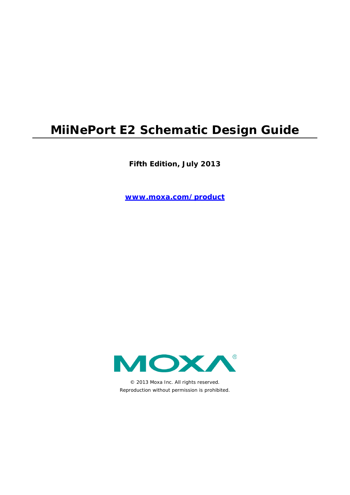# **MiiNePort E2 Schematic Design Guide**

**Fifth Edition, July 2013** 

**www.moxa.com/product**



© 2013 Moxa Inc. All rights reserved. Reproduction without permission is prohibited.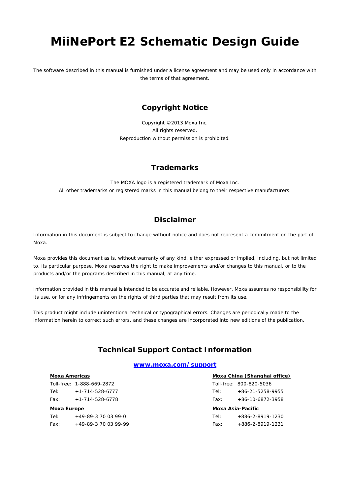# **MiiNePort E2 Schematic Design Guide**

The software described in this manual is furnished under a license agreement and may be used only in accordance with the terms of that agreement.

### **Copyright Notice**

Copyright ©2013 Moxa Inc. All rights reserved. Reproduction without permission is prohibited.

### **Trademarks**

The MOXA logo is a registered trademark of Moxa Inc. All other trademarks or registered marks in this manual belong to their respective manufacturers.

### **Disclaimer**

Information in this document is subject to change without notice and does not represent a commitment on the part of Moxa.

Moxa provides this document as is, without warranty of any kind, either expressed or implied, including, but not limited to, its particular purpose. Moxa reserves the right to make improvements and/or changes to this manual, or to the products and/or the programs described in this manual, at any time.

Information provided in this manual is intended to be accurate and reliable. However, Moxa assumes no responsibility for its use, or for any infringements on the rights of third parties that may result from its use.

This product might include unintentional technical or typographical errors. Changes are periodically made to the information herein to correct such errors, and these changes are incorporated into new editions of the publication.

### **Technical Support Contact Information**

#### **www.moxa.com/support**

#### **Moxa Americas**

Toll-free: 1-888-669-2872 Tel: +1-714-528-6777 Fax: +1-714-528-6778

#### **Moxa Europe**

Tel: +49-89-3 70 03 99-0 Fax: +49-89-3 70 03 99-99

#### **Moxa China (Shanghai office)**  $T_{\text{u},6}$  800-820-5036

| <u> Moxa Asia-Pacific</u> |                         |  |  |  |  |
|---------------------------|-------------------------|--|--|--|--|
| Fax:                      | $+86-10-6872-3958$      |  |  |  |  |
| Tel:                      | $+86-21-5258-9955$      |  |  |  |  |
|                           | Toll-free: 800-820-5036 |  |  |  |  |

| Tel: | +886-2-8919-1230         |
|------|--------------------------|
| Fax: | $+886 - 2 - 8919 - 1231$ |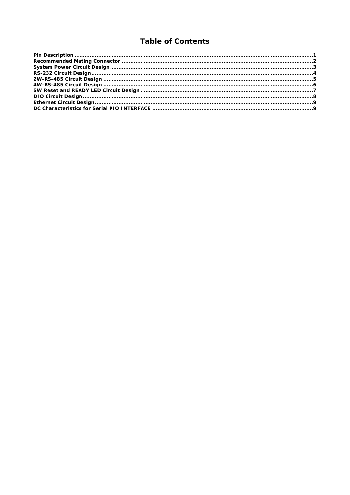## **Table of Contents**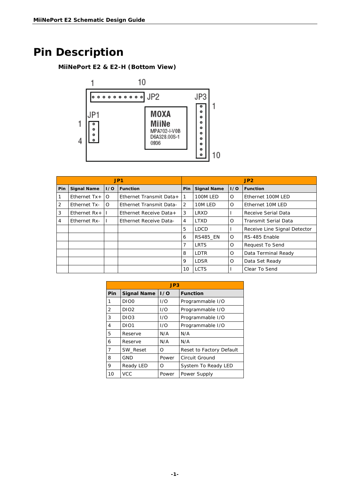# <span id="page-3-0"></span>**Pin Description**

## **MiiNePort E2 & E2-H (Bottom View)**



| JP <sub>1</sub> |                    |          | JP2                            |                 |                    |          |                              |
|-----------------|--------------------|----------|--------------------------------|-----------------|--------------------|----------|------------------------------|
| <b>Pin</b>      | <b>Signal Name</b> | 1/0      | <b>Function</b>                | <b>Pin</b>      | <b>Signal Name</b> | 1/0      | <b>Function</b>              |
| l 1             | Ethernet $Tx +$    | $\circ$  | Ethernet Transmit Data+        | $\overline{11}$ | 100M LED           | O        | Ethernet 100M LED            |
| $\overline{2}$  | Ethernet Tx-       | $\Omega$ | <b>Ethernet Transmit Data-</b> | 2               | 10M LED            | O        | Ethernet 10M LED             |
| 3               | Ethernet $Rx +$    |          | Ethernet Receive Data+         | 3               | LRXD               |          | Receive Serial Data          |
| $\overline{4}$  | Ethernet Rx-       |          | Ethernet Receive Data-         | 4               | <b>LTXD</b>        | $\Omega$ | Transmit Serial Data         |
|                 |                    |          |                                | 5               | <b>LDCD</b>        |          | Receive Line Signal Detector |
|                 |                    |          |                                | 6               | <b>RS485 EN</b>    | O        | RS-485 Enable                |
|                 |                    |          |                                | 7               | <b>LRTS</b>        | O        | <b>Request To Send</b>       |
|                 |                    |          |                                | 8               | LDTR               | $\Omega$ | Data Terminal Ready          |
|                 |                    |          |                                | 9               | <b>LDSR</b>        | $\Omega$ | Data Set Ready               |
|                 |                    |          |                                | 10              | <b>LCTS</b>        |          | Clear To Send                |

|     | JP3                |       |                          |  |  |  |  |
|-----|--------------------|-------|--------------------------|--|--|--|--|
| Pin | <b>Signal Name</b> | 1/0   | <b>Function</b>          |  |  |  |  |
| 1   | DIO <sub>0</sub>   | 1/O   | Programmable I/O         |  |  |  |  |
| 2   | DIO <sub>2</sub>   | 1/O   | Programmable I/O         |  |  |  |  |
| 3   | DIO <sub>3</sub>   | 1/O   | Programmable I/O         |  |  |  |  |
| 4   | DIO <sub>1</sub>   | 1/O   | Programmable I/O         |  |  |  |  |
| 5   | Reserve            | N/A   | N/A                      |  |  |  |  |
| 6   | Reserve            | N/A   | N/A                      |  |  |  |  |
| 7   | SW Reset           | Ο     | Reset to Factory Default |  |  |  |  |
| 8   | <b>GND</b>         | Power | Circuit Ground           |  |  |  |  |
| 9   | Ready LED          | Ο     | System To Ready LED      |  |  |  |  |
| 10  | <b>VCC</b>         | Power | Power Supply             |  |  |  |  |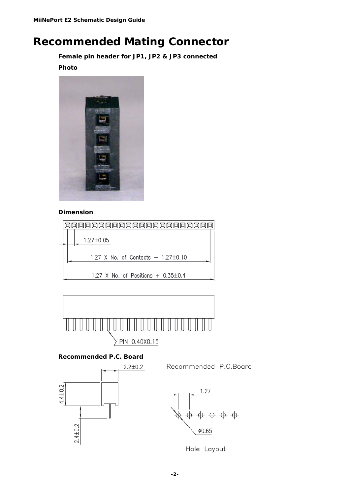## <span id="page-4-0"></span>**Recommended Mating Connector**

**Female pin header for JP1, JP2 & JP3 connected** 

### **Photo**



### **Dimension**





### **Recommended P.C. Board**

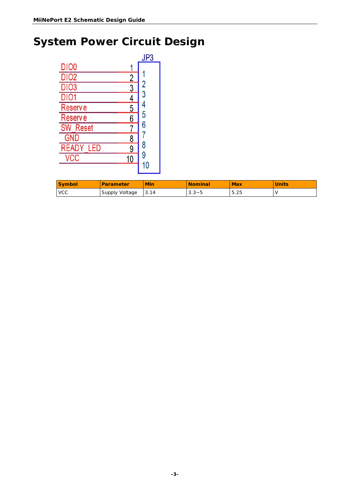# <span id="page-5-0"></span>**System Power Circuit Design**

|                  |    | JP3           |
|------------------|----|---------------|
| DIO <sub>0</sub> |    |               |
| <b>DIO2</b>      | 2  |               |
| <b>DIO3</b>      | 3  | $\frac{2}{3}$ |
| <b>DIO1</b>      | 4  |               |
| <b>Reserve</b>   | 5  | 4<br>5        |
| <b>Reserve</b>   | 6  |               |
| <b>SW Reset</b>  |    | 6             |
| <b>GND</b>       | 8  |               |
| <b>READY LED</b> | 9  | 8             |
| VCC              | 10 | 9             |
|                  |    | 10            |

| <b>Symbol</b> | Parameter      | <b>Min</b> | <b>Nominal</b> | <b>Max</b> | <b>Units</b> |
|---------------|----------------|------------|----------------|------------|--------------|
| <b>VCC</b>    | Supply Voltage | 3.14       | $3.3 - 5$      | 5.25       |              |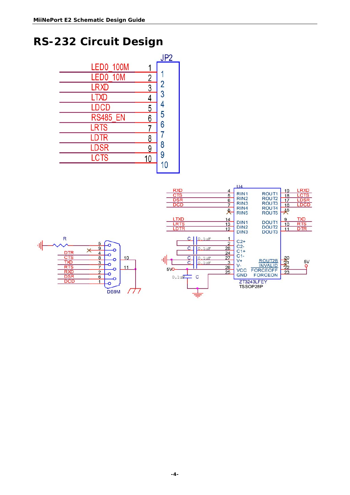## <span id="page-6-0"></span>**RS-232 Circuit Design**

|                  |                | JP <sub>2</sub> |
|------------------|----------------|-----------------|
| <b>LED0 100M</b> |                |                 |
| LED0 10M         | $\overline{2}$ |                 |
| <b>LRXD</b>      | 3              | 2<br>3          |
| <b>LTXD</b>      | 4              |                 |
| <b>LDCD</b>      | 5              |                 |
| <b>RS485 EN</b>  | 6              | 5               |
| <b>LRTS</b>      |                | 6               |
| <b>LDTR</b>      | 8              |                 |
| <b>LDSR</b>      | 9              | 8               |
| <b>LCTS</b>      | 10             | 9               |
|                  |                | 10              |

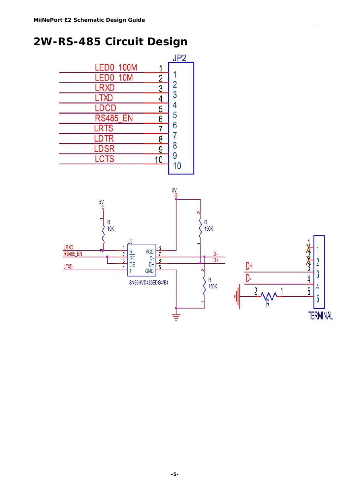# <span id="page-7-0"></span>**2W-RS-485 Circuit Design**



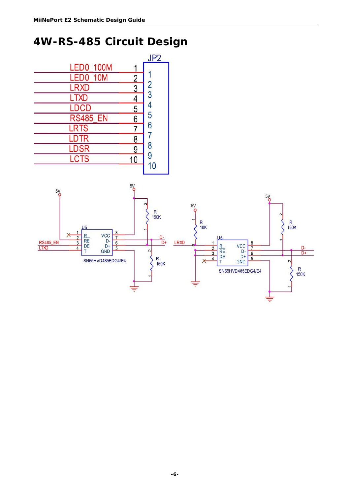# <span id="page-8-0"></span>**4W-RS-485 Circuit Design**

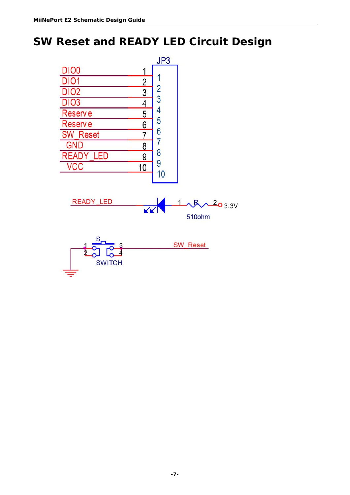# <span id="page-9-0"></span>**SW Reset and READY LED Circuit Design**

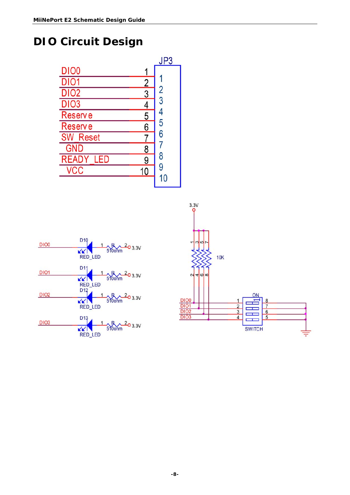# <span id="page-10-0"></span>**DIO Circuit Design**

|                  |               | JP3           |
|------------------|---------------|---------------|
| DIO <sub>0</sub> | 1             |               |
| <b>DIO1</b>      |               |               |
| <b>DIO2</b>      | $\frac{2}{3}$ | $\frac{2}{3}$ |
| <b>DIO3</b>      | 4             |               |
| <b>Reserve</b>   | 5             |               |
| <b>Reserve</b>   | 6             | 5             |
| <b>SW</b> Reset  |               | 6             |
| <b>GND</b>       | 8             |               |
| <b>READY LED</b> | 9             | 8             |
| <b>VCC</b>       | 10            | 9             |
|                  |               | 10            |